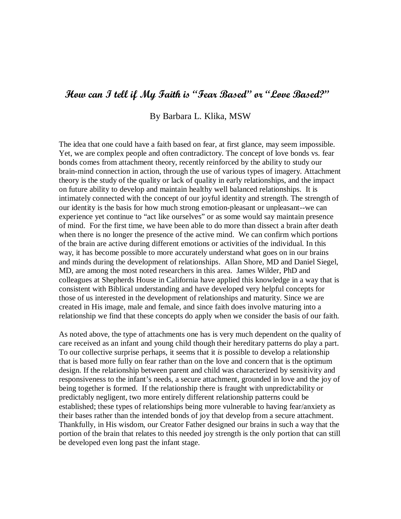# How can I tell if My Faith is "Fear Based" or "Love Based?"

### By Barbara L. Klika, MSW

The idea that one could have a faith based on fear, at first glance, may seem impossible. Yet, we are complex people and often contradictory. The concept of love bonds vs. fear bonds comes from attachment theory, recently reinforced by the ability to study our brain-mind connection in action, through the use of various types of imagery. Attachment theory is the study of the quality or lack of quality in early relationships, and the impact on future ability to develop and maintain healthy well balanced relationships. It is intimately connected with the concept of our joyful identity and strength. The strength of our identity is the basis for how much strong emotion-pleasant or unpleasant--we can experience yet continue to "act like ourselves" or as some would say maintain presence of mind. For the first time, we have been able to do more than dissect a brain after death when there is no longer the presence of the active mind. We can confirm which portions of the brain are active during different emotions or activities of the individual. In this way, it has become possible to more accurately understand what goes on in our brains and minds during the development of relationships. Allan Shore, MD and Daniel Siegel, MD, are among the most noted researchers in this area. James Wilder, PhD and colleagues at Shepherds House in California have applied this knowledge in a way that is consistent with Biblical understanding and have developed very helpful concepts for those of us interested in the development of relationships and maturity. Since we are created in His image, male and female, and since faith does involve maturing into a relationship we find that these concepts do apply when we consider the basis of our faith.

As noted above, the type of attachments one has is very much dependent on the quality of care received as an infant and young child though their hereditary patterns do play a part. To our collective surprise perhaps, it seems that it *is* possible to develop a relationship that is based more fully on fear rather than on the love and concern that is the optimum design. If the relationship between parent and child was characterized by sensitivity and responsiveness to the infant's needs, a secure attachment, grounded in love and the joy of being together is formed. If the relationship there is fraught with unpredictability or predictably negligent, two more entirely different relationship patterns could be established; these types of relationships being more vulnerable to having fear/anxiety as their bases rather than the intended bonds of joy that develop from a secure attachment. Thankfully, in His wisdom, our Creator Father designed our brains in such a way that the portion of the brain that relates to this needed joy strength is the only portion that can still be developed even long past the infant stage.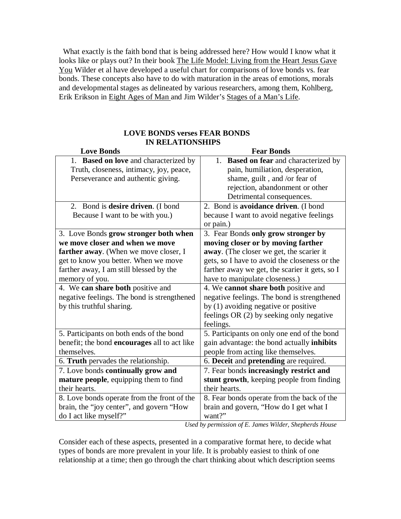What exactly is the faith bond that is being addressed here? How would I know what it looks like or plays out? In their book The Life Model: Living from the Heart Jesus Gave You Wilder et al have developed a useful chart for comparisons of love bonds vs. fear bonds. These concepts also have to do with maturation in the areas of emotions, morals and developmental stages as delineated by various researchers, among them, Kohlberg, Erik Erikson in Eight Ages of Man and Jim Wilder's Stages of a Man's Life.

#### **LOVE BONDS verses FEAR BONDS IN RELATIONSHIPS**

| <b>Love Bonds</b>                            | <b>Fear Bonds</b>                                                                                                                                           |
|----------------------------------------------|-------------------------------------------------------------------------------------------------------------------------------------------------------------|
| 1. Based on love and characterized by        | <b>Based on fear and characterized by</b><br>1.                                                                                                             |
| Truth, closeness, intimacy, joy, peace,      | pain, humiliation, desperation,                                                                                                                             |
| Perseverance and authentic giving.           | shame, guilt, and /or fear of                                                                                                                               |
|                                              | rejection, abandonment or other                                                                                                                             |
|                                              | Detrimental consequences.                                                                                                                                   |
| 2. Bond is <b>desire driven</b> . (I bond    | 2. Bond is avoidance driven. (I bond                                                                                                                        |
| Because I want to be with you.)              | because I want to avoid negative feelings                                                                                                                   |
|                                              | or pain.)                                                                                                                                                   |
| 3. Love Bonds grow stronger both when        | 3. Fear Bonds only grow stronger by                                                                                                                         |
| we move closer and when we move              | moving closer or by moving farther                                                                                                                          |
| farther away. (When we move closer, I        | away. (The closer we get, the scarier it                                                                                                                    |
| get to know you better. When we move         | gets, so I have to avoid the closeness or the                                                                                                               |
| farther away, I am still blessed by the      | farther away we get, the scarier it gets, so I                                                                                                              |
| memory of you.                               | have to manipulate closeness.)                                                                                                                              |
| 4. We can share both positive and            | 4. We cannot share both positive and                                                                                                                        |
| negative feelings. The bond is strengthened  | negative feelings. The bond is strengthened                                                                                                                 |
| by this truthful sharing.                    | by (1) avoiding negative or positive                                                                                                                        |
|                                              | feelings OR (2) by seeking only negative                                                                                                                    |
|                                              | feelings.                                                                                                                                                   |
| 5. Participants on both ends of the bond     | 5. Participants on only one end of the bond                                                                                                                 |
| benefit; the bond encourages all to act like | gain advantage: the bond actually inhibits                                                                                                                  |
| themselves.                                  | people from acting like themselves.                                                                                                                         |
| 6. Truth pervades the relationship.          | 6. Deceit and pretending are required.                                                                                                                      |
| 7. Love bonds continually grow and           | 7. Fear bonds increasingly restrict and                                                                                                                     |
| mature people, equipping them to find        | stunt growth, keeping people from finding                                                                                                                   |
| their hearts.                                | their hearts.                                                                                                                                               |
| 8. Love bonds operate from the front of the  | 8. Fear bonds operate from the back of the                                                                                                                  |
| brain, the "joy center", and govern "How     | brain and govern, "How do I get what I                                                                                                                      |
| do I act like myself?"<br>$II - 1I$          | want?"<br>$\mathcal{L}$ on $\mathcal{L}$ $\mathbf{F}$ and $\mathbf{F}$ and $\mathbf{H}$ and $\mathbf{H}$ and $\mathbf{H}$ and $\mathbf{H}$ and $\mathbf{H}$ |

*Used by permission of E. James Wilder, Shepherds House* 

Consider each of these aspects, presented in a comparative format here, to decide what types of bonds are more prevalent in your life. It is probably easiest to think of one relationship at a time; then go through the chart thinking about which description seems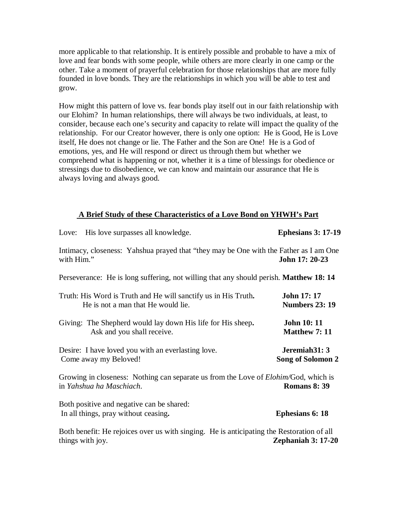more applicable to that relationship. It is entirely possible and probable to have a mix of love and fear bonds with some people, while others are more clearly in one camp or the other. Take a moment of prayerful celebration for those relationships that are more fully founded in love bonds. They are the relationships in which you will be able to test and grow.

How might this pattern of love vs. fear bonds play itself out in our faith relationship with our Elohim? In human relationships, there will always be two individuals, at least, to consider, because each one's security and capacity to relate will impact the quality of the relationship. For our Creator however, there is only one option: He is Good, He is Love itself, He does not change or lie. The Father and the Son are One! He is a God of emotions, yes, and He will respond or direct us through them but whether we comprehend what is happening or not, whether it is a time of blessings for obedience or stressings due to disobedience, we can know and maintain our assurance that He is always loving and always good.

### **A Brief Study of these Characteristics of a Love Bond on YHWH's Part**

| Love: His love surpasses all knowledge.                                                                                 | <b>Ephesians 3: 17-19</b>                       |
|-------------------------------------------------------------------------------------------------------------------------|-------------------------------------------------|
| Intimacy, closeness: Yahshua prayed that "they may be One with the Father as I am One<br>with Him."                     | John 17: 20-23                                  |
| Perseverance: He is long suffering, not willing that any should perish. Matthew 18: 14                                  |                                                 |
| Truth: His Word is Truth and He will sanctify us in His Truth.<br>He is not a man that He would lie.                    | <b>John 17: 17</b><br><b>Numbers 23: 19</b>     |
| Giving: The Shepherd would lay down His life for His sheep.<br>Ask and you shall receive.                               | <b>John 10: 11</b><br><b>Matthew 7: 11</b>      |
| Desire: I have loved you with an everlasting love.<br>Come away my Beloved!                                             | Jeremiah <sub>31</sub> : 3<br>Song of Solomon 2 |
| Growing in closeness: Nothing can separate us from the Love of <i>Elohim</i> /God, which is<br>in Yahshua ha Maschiach. | <b>Romans 8: 39</b>                             |
| Both positive and negative can be shared:<br>In all things, pray without ceasing.                                       | <b>Ephesians 6: 18</b>                          |
| Both benefit: He rejoices over us with singing. He is anticipating the Restoration of all<br>things with joy.           | Zephaniah $3:17-20$                             |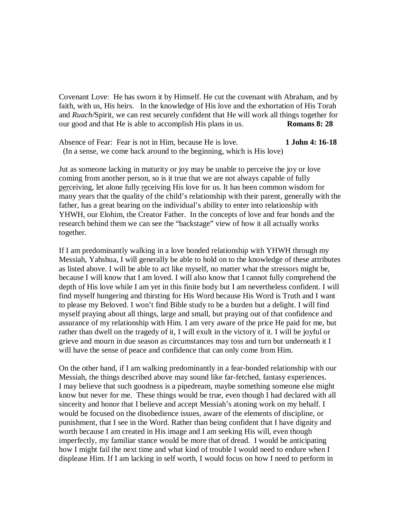Covenant Love: He has sworn it by Himself. He cut the covenant with Abraham, and by faith, with us, His heirs. In the knowledge of His love and the exhortation of His Torah and *Ruach/*Spirit, we can rest securely confident that He will work all things together for our good and that He is able to accomplish His plans in us. **Romans 8: 28**

Absence of Fear: Fear is not in Him, because He is love. **1 John 4: 16-18** (In a sense, we come back around to the beginning, which is His love)

Jut as someone lacking in maturity or joy may be unable to perceive the joy or love coming from another person, so is it true that we are not always capable of fully perceiving, let alone fully receiving His love for us. It has been common wisdom for many years that the quality of the child's relationship with their parent, generally with the father, has a great bearing on the individual's ability to enter into relationship with YHWH, our Elohim, the Creator Father. In the concepts of love and fear bonds and the research behind them we can see the "backstage" view of how it all actually works together.

If I am predominantly walking in a love bonded relationship with YHWH through my Messiah, Yahshua, I will generally be able to hold on to the knowledge of these attributes as listed above. I will be able to act like myself, no matter what the stressors might be, because I will know that I am loved. I will also know that I cannot fully comprehend the depth of His love while I am yet in this finite body but I am nevertheless confident. I will find myself hungering and thirsting for His Word because His Word is Truth and I want to please my Beloved. I won't find Bible study to be a burden but a delight. I will find myself praying about all things, large and small, but praying out of that confidence and assurance of my relationship with Him. I am very aware of the price He paid for me, but rather than dwell on the tragedy of it, I will exult in the victory of it. I will be joyful or grieve and mourn in due season as circumstances may toss and turn but underneath it I will have the sense of peace and confidence that can only come from Him.

On the other hand, if I am walking predominantly in a fear-bonded relationship with our Messiah, the things described above may sound like far-fetched, fantasy experiences. I may believe that such goodness is a pipedream, maybe something someone else might know but never for me. These things would be true, even though I had declared with all sincerity and honor that I believe and accept Messiah's atoning work on my behalf. I would be focused on the disobedience issues, aware of the elements of discipline, or punishment, that I see in the Word. Rather than being confident that I have dignity and worth because I am created in His image and I am seeking His will, even though imperfectly, my familiar stance would be more that of dread. I would be anticipating how I might fail the next time and what kind of trouble I would need to endure when I displease Him. If I am lacking in self worth, I would focus on how I need to perform in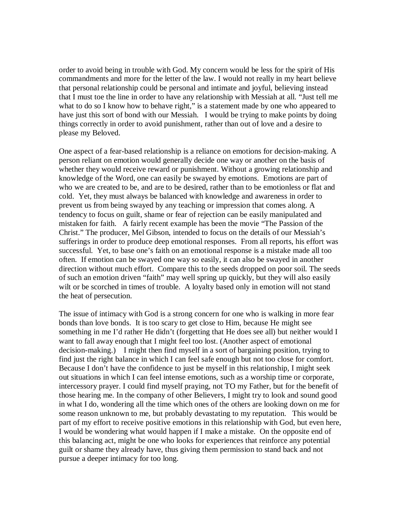order to avoid being in trouble with God. My concern would be less for the spirit of His commandments and more for the letter of the law. I would not really in my heart believe that personal relationship could be personal and intimate and joyful, believing instead that I must toe the line in order to have any relationship with Messiah at all. "Just tell me what to do so I know how to behave right," is a statement made by one who appeared to have just this sort of bond with our Messiah. I would be trying to make points by doing things correctly in order to avoid punishment, rather than out of love and a desire to please my Beloved.

One aspect of a fear-based relationship is a reliance on emotions for decision-making. A person reliant on emotion would generally decide one way or another on the basis of whether they would receive reward or punishment. Without a growing relationship and knowledge of the Word, one can easily be swayed by emotions. Emotions are part of who we are created to be, and are to be desired, rather than to be emotionless or flat and cold. Yet, they must always be balanced with knowledge and awareness in order to prevent us from being swayed by any teaching or impression that comes along. A tendency to focus on guilt, shame or fear of rejection can be easily manipulated and mistaken for faith. A fairly recent example has been the movie "The Passion of the Christ." The producer, Mel Gibson, intended to focus on the details of our Messiah's sufferings in order to produce deep emotional responses. From all reports, his effort was successful. Yet, to base one's faith on an emotional response is a mistake made all too often. If emotion can be swayed one way so easily, it can also be swayed in another direction without much effort. Compare this to the seeds dropped on poor soil. The seeds of such an emotion driven "faith" may well spring up quickly, but they will also easily wilt or be scorched in times of trouble. A loyalty based only in emotion will not stand the heat of persecution.

The issue of intimacy with God is a strong concern for one who is walking in more fear bonds than love bonds. It is too scary to get close to Him, because He might see something in me I'd rather He didn't (forgetting that He does see all) but neither would I want to fall away enough that I might feel too lost. (Another aspect of emotional decision-making.) I might then find myself in a sort of bargaining position, trying to find just the right balance in which I can feel safe enough but not too close for comfort. Because I don't have the confidence to just be myself in this relationship, I might seek out situations in which I can feel intense emotions, such as a worship time or corporate, intercessory prayer. I could find myself praying, not TO my Father, but for the benefit of those hearing me. In the company of other Believers, I might try to look and sound good in what I do, wondering all the time which ones of the others are looking down on me for some reason unknown to me, but probably devastating to my reputation. This would be part of my effort to receive positive emotions in this relationship with God, but even here, I would be wondering what would happen if I make a mistake. On the opposite end of this balancing act, might be one who looks for experiences that reinforce any potential guilt or shame they already have, thus giving them permission to stand back and not pursue a deeper intimacy for too long.